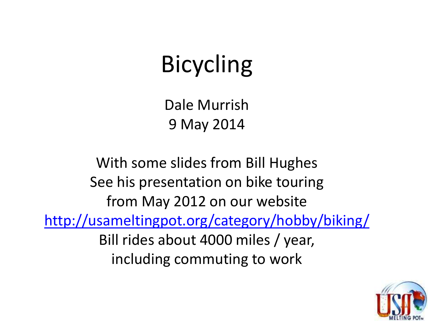## Bicycling

Dale Murrish 9 May 2014

With some slides from Bill Hughes See his presentation on bike touring from May 2012 on our website <http://usameltingpot.org/category/hobby/biking/> Bill rides about 4000 miles / year, including commuting to work

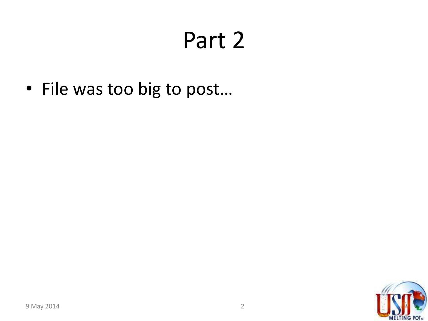## Part 2

• File was too big to post…

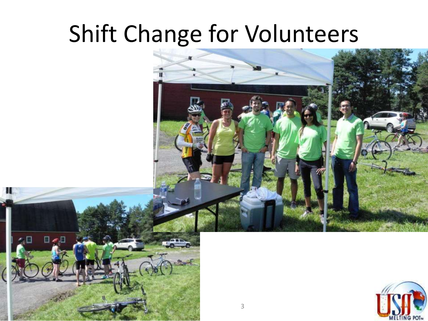## Shift Change for Volunteers





Ш

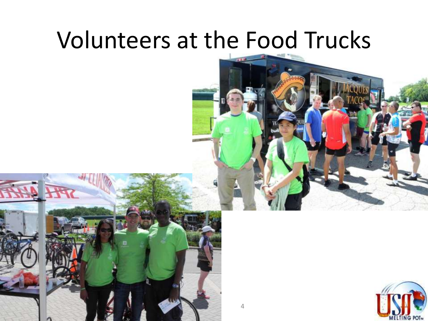#### Volunteers at the Food Trucks





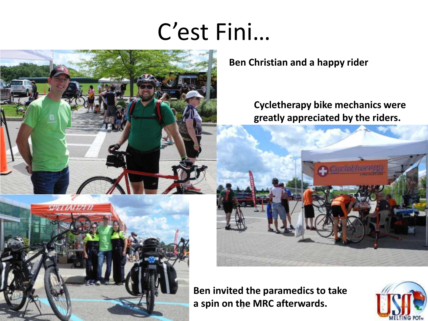### C'est Fini…



5955117751 **a spin on the MRC afterwards.** 

**Ben Christian and a happy rider**

**Cycletherapy bike mechanics were greatly appreciated by the riders.**



**Ben invited the paramedics to take** 

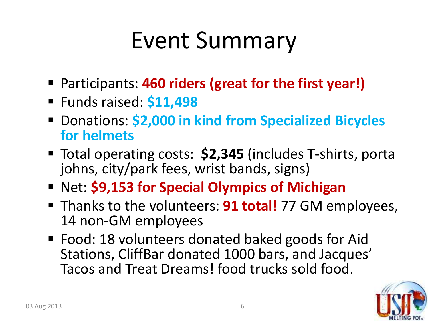## Event Summary

- Participants: **460 riders (great for the first year!)**
- Funds raised: **\$11,498**
- Donations: **\$2,000 in kind from Specialized Bicycles for helmets**
- Total operating costs: **\$2,345** (includes T-shirts, porta johns, city/park fees, wrist bands, signs)
- **Net: \$9,153 for Special Olympics of Michigan**
- **Thanks to the volunteers: 91 total!** 77 GM employees, 14 non-GM employees
- Food: 18 volunteers donated baked goods for Aid Stations, CliffBar donated 1000 bars, and Jacques' Tacos and Treat Dreams! food trucks sold food.

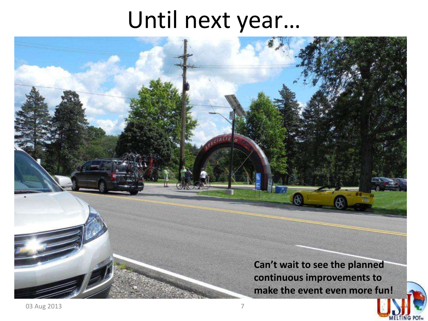#### Until next year…

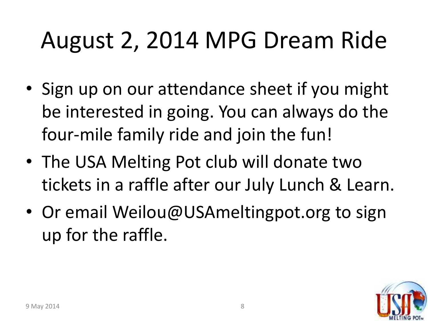# August 2, 2014 MPG Dream Ride

- Sign up on our attendance sheet if you might be interested in going. You can always do the four-mile family ride and join the fun!
- The USA Melting Pot club will donate two tickets in a raffle after our July Lunch & Learn.
- Or email Weilou@USAmeltingpot.org to sign up for the raffle.

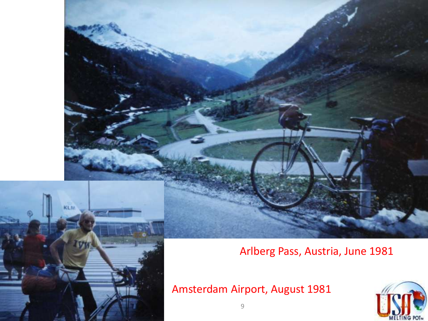#### Arlberg Pass, Austria, June 1981

Amsterdam Airport, August 1981





**KLM**